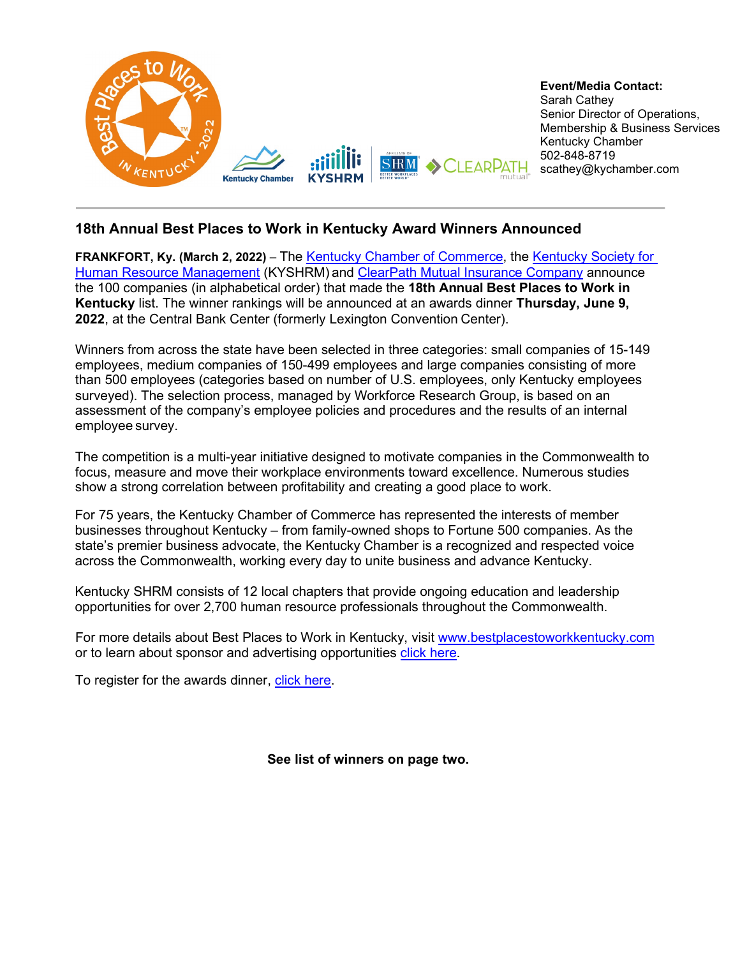

## **18th Annual Best Places to Work in Kentucky Award Winners Announced**

**FRANKFORT, Ky. (March 2, 2022)** – The [Kentucky Chamber of Commerce,](https://www.kychamber.com/) the [Kentucky Society for](https://ky.shrm.org/)  [Human Resource Management](https://ky.shrm.org/) (KYSHRM) and [ClearPath Mutual Insurance Company](https://clearpathmutual.com/) announce the 100 companies (in alphabetical order) that made the **18th Annual Best Places to Work in Kentucky** list. The winner rankings will be announced at an awards dinner **Thursday, June 9, 2022**, at the Central Bank Center (formerly Lexington Convention Center).

Winners from across the state have been selected in three categories: small companies of 15-149 employees, medium companies of 150-499 employees and large companies consisting of more than 500 employees (categories based on number of U.S. employees, only Kentucky employees surveyed). The selection process, managed by Workforce Research Group, is based on an assessment of the company's employee policies and procedures and the results of an internal employee survey.

The competition is a multi-year initiative designed to motivate companies in the Commonwealth to focus, measure and move their workplace environments toward excellence. Numerous studies show a strong correlation between profitability and creating a good place to work.

For 75 years, the Kentucky Chamber of Commerce has represented the interests of member businesses throughout Kentucky – from family-owned shops to Fortune 500 companies. As the state's premier business advocate, the Kentucky Chamber is a recognized and respected voice across the Commonwealth, working every day to unite business and advance Kentucky.

Kentucky SHRM consists of 12 local chapters that provide ongoing education and leadership opportunities for over 2,700 human resource professionals throughout the Commonwealth.

For more details about Best Places to Work in Kentucky, visit [www.bestplacestoworkkentucky.com](https://www.bestplacestoworkkentucky.com/) or to learn about sponsor and advertising opportunities [click here.](https://www.bestplacestoworkkentucky.com/awards/sponsorships)

To register for the awards dinner, [click here.](https://www.bestplacestoworkkentucky.com/awards/awards-event/event-information)

**See list of winners on page two.**